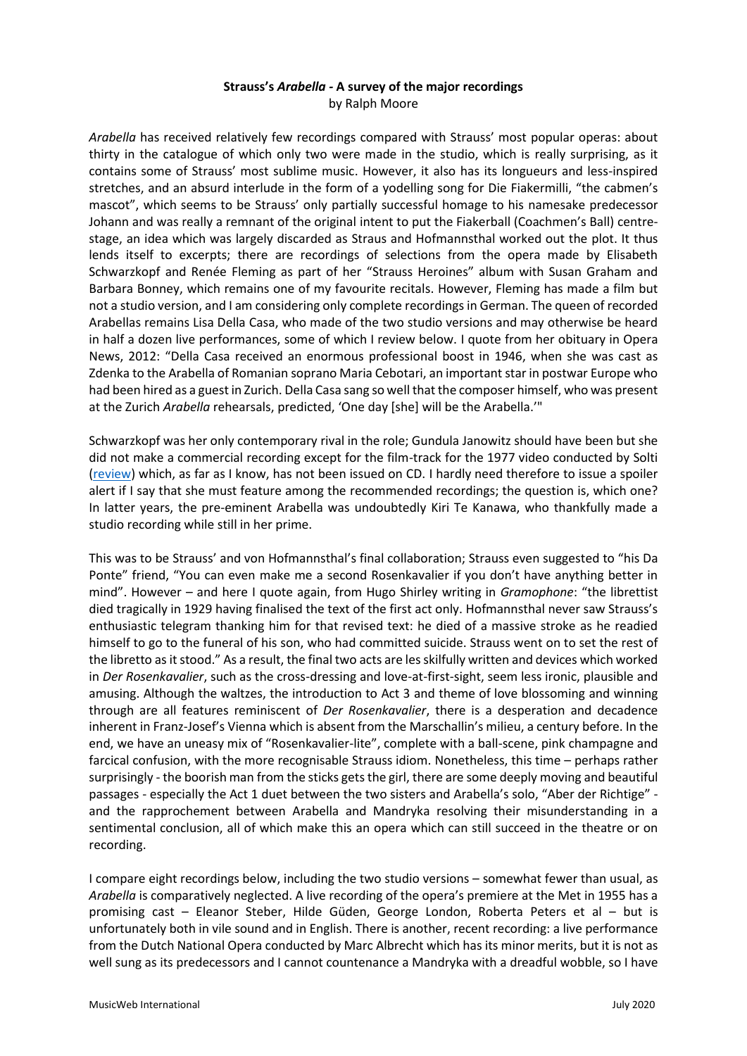## **Strauss's** *Arabella -* **A survey of the major recordings** by Ralph Moore

*Arabella* has received relatively few recordings compared with Strauss' most popular operas: about thirty in the catalogue of which only two were made in the studio, which is really surprising, as it contains some of Strauss' most sublime music. However, it also has its longueurs and less-inspired stretches, and an absurd interlude in the form of a yodelling song for Die Fiakermilli, "the cabmen's mascot", which seems to be Strauss' only partially successful homage to his namesake predecessor Johann and was really a remnant of the original intent to put the Fiakerball (Coachmen's Ball) centrestage, an idea which was largely discarded as Straus and Hofmannsthal worked out the plot. It thus lends itself to excerpts; there are recordings of selections from the opera made by Elisabeth Schwarzkopf and Renée Fleming as part of her "Strauss Heroines" album with Susan Graham and Barbara Bonney, which remains one of my favourite recitals. However, Fleming has made a film but not a studio version, and I am considering only complete recordings in German. The queen of recorded Arabellas remains Lisa Della Casa, who made of the two studio versions and may otherwise be heard in half a dozen live performances, some of which I review below. I quote from her obituary in Opera News, 2012: "Della Casa received an enormous professional boost in 1946, when she was cast as Zdenka to the Arabella of Romanian soprano Maria Cebotari, an important star in postwar Europe who had been hired as a guest in Zurich. Della Casa sang so well that the composer himself, who was present at the Zurich *Arabella* rehearsals, predicted, 'One day [she] will be the Arabella.'"

Schwarzkopf was her only contemporary rival in the role; Gundula Janowitz should have been but she did not make a commercial recording except for the film-track for the 1977 video conducted by Solti [\(review\)](http://www.musicweb-international.com/classrev/2008/May08/Strauss_Arabella_0743255.htm) which, as far as I know, has not been issued on CD. I hardly need therefore to issue a spoiler alert if I say that she must feature among the recommended recordings; the question is, which one? In latter years, the pre-eminent Arabella was undoubtedly Kiri Te Kanawa, who thankfully made a studio recording while still in her prime.

This was to be Strauss' and von Hofmannsthal's final collaboration; Strauss even suggested to "his Da Ponte" friend, "You can even make me a second Rosenkavalier if you don't have anything better in mind". However – and here I quote again, from Hugo Shirley writing in *Gramophone*: "the librettist died tragically in 1929 having finalised the text of the first act only. Hofmannsthal never saw Strauss's enthusiastic telegram thanking him for that revised text: he died of a massive stroke as he readied himself to go to the funeral of his son, who had committed suicide. Strauss went on to set the rest of the libretto as it stood." As a result, the final two acts are les skilfully written and devices which worked in *Der Rosenkavalier*, such as the cross-dressing and love-at-first-sight, seem less ironic, plausible and amusing. Although the waltzes, the introduction to Act 3 and theme of love blossoming and winning through are all features reminiscent of *Der Rosenkavalier*, there is a desperation and decadence inherent in Franz-Josef's Vienna which is absent from the Marschallin's milieu, a century before. In the end, we have an uneasy mix of "Rosenkavalier-lite", complete with a ball-scene, pink champagne and farcical confusion, with the more recognisable Strauss idiom. Nonetheless, this time – perhaps rather surprisingly - the boorish man from the sticks gets the girl, there are some deeply moving and beautiful passages - especially the Act 1 duet between the two sisters and Arabella's solo, "Aber der Richtige" and the rapprochement between Arabella and Mandryka resolving their misunderstanding in a sentimental conclusion, all of which make this an opera which can still succeed in the theatre or on recording.

I compare eight recordings below, including the two studio versions – somewhat fewer than usual, as *Arabella* is comparatively neglected. A live recording of the opera's premiere at the Met in 1955 has a promising cast – Eleanor Steber, Hilde Güden, George London, Roberta Peters et al – but is unfortunately both in vile sound and in English. There is another, recent recording: a live performance from the Dutch National Opera conducted by Marc Albrecht which has its minor merits, but it is not as well sung as its predecessors and I cannot countenance a Mandryka with a dreadful wobble, so I have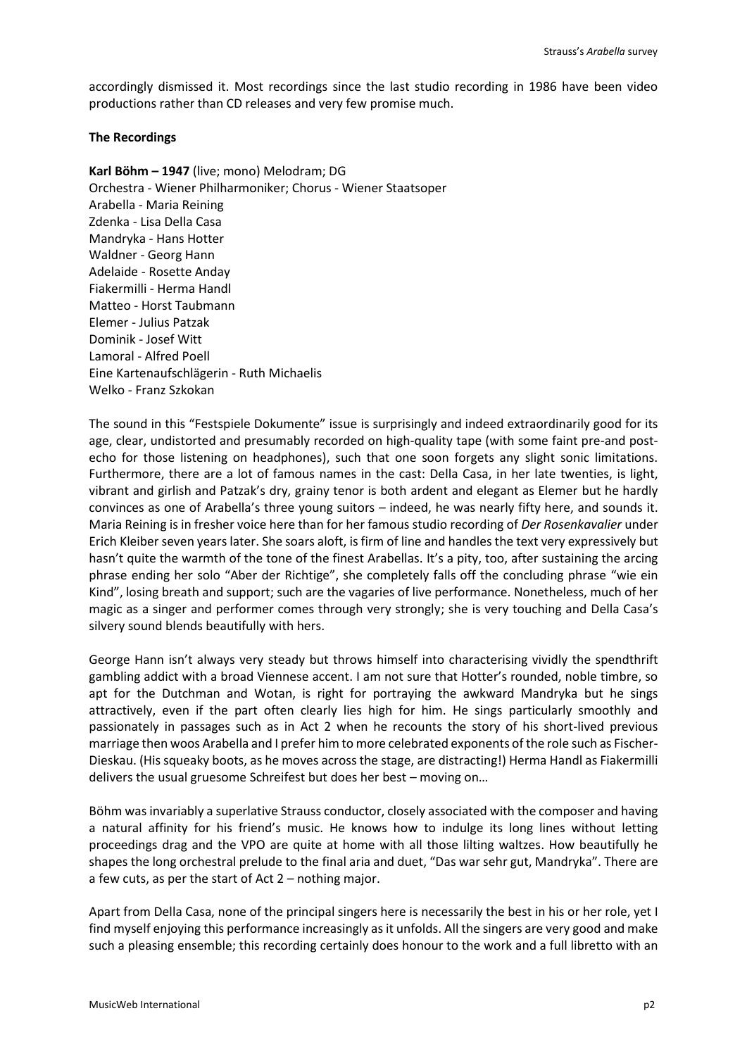accordingly dismissed it. Most recordings since the last studio recording in 1986 have been video productions rather than CD releases and very few promise much.

### **The Recordings**

**Karl Böhm – 1947** (live; mono) Melodram; DG Orchestra - Wiener Philharmoniker; Chorus - Wiener Staatsoper Arabella - Maria Reining Zdenka - Lisa Della Casa Mandryka - Hans Hotter Waldner - Georg Hann Adelaide - Rosette Anday Fiakermilli - Herma Handl Matteo - Horst Taubmann Elemer - Julius Patzak Dominik - Josef Witt Lamoral - Alfred Poell Eine Kartenaufschlägerin - Ruth Michaelis Welko - Franz Szkokan

The sound in this "Festspiele Dokumente" issue is surprisingly and indeed extraordinarily good for its age, clear, undistorted and presumably recorded on high-quality tape (with some faint pre-and postecho for those listening on headphones), such that one soon forgets any slight sonic limitations. Furthermore, there are a lot of famous names in the cast: Della Casa, in her late twenties, is light, vibrant and girlish and Patzak's dry, grainy tenor is both ardent and elegant as Elemer but he hardly convinces as one of Arabella's three young suitors – indeed, he was nearly fifty here, and sounds it. Maria Reining is in fresher voice here than for her famous studio recording of *Der Rosenkavalier* under Erich Kleiber seven years later. She soars aloft, is firm of line and handles the text very expressively but hasn't quite the warmth of the tone of the finest Arabellas. It's a pity, too, after sustaining the arcing phrase ending her solo "Aber der Richtige", she completely falls off the concluding phrase "wie ein Kind", losing breath and support; such are the vagaries of live performance. Nonetheless, much of her magic as a singer and performer comes through very strongly; she is very touching and Della Casa's silvery sound blends beautifully with hers.

George Hann isn't always very steady but throws himself into characterising vividly the spendthrift gambling addict with a broad Viennese accent. I am not sure that Hotter's rounded, noble timbre, so apt for the Dutchman and Wotan, is right for portraying the awkward Mandryka but he sings attractively, even if the part often clearly lies high for him. He sings particularly smoothly and passionately in passages such as in Act 2 when he recounts the story of his short-lived previous marriage then woos Arabella and I prefer him to more celebrated exponents of the role such as Fischer-Dieskau. (His squeaky boots, as he moves across the stage, are distracting!) Herma Handl as Fiakermilli delivers the usual gruesome Schreifest but does her best – moving on…

Böhm was invariably a superlative Strauss conductor, closely associated with the composer and having a natural affinity for his friend's music. He knows how to indulge its long lines without letting proceedings drag and the VPO are quite at home with all those lilting waltzes. How beautifully he shapes the long orchestral prelude to the final aria and duet, "Das war sehr gut, Mandryka". There are a few cuts, as per the start of Act 2 – nothing major.

Apart from Della Casa, none of the principal singers here is necessarily the best in his or her role, yet I find myself enjoying this performance increasingly as it unfolds. All the singers are very good and make such a pleasing ensemble; this recording certainly does honour to the work and a full libretto with an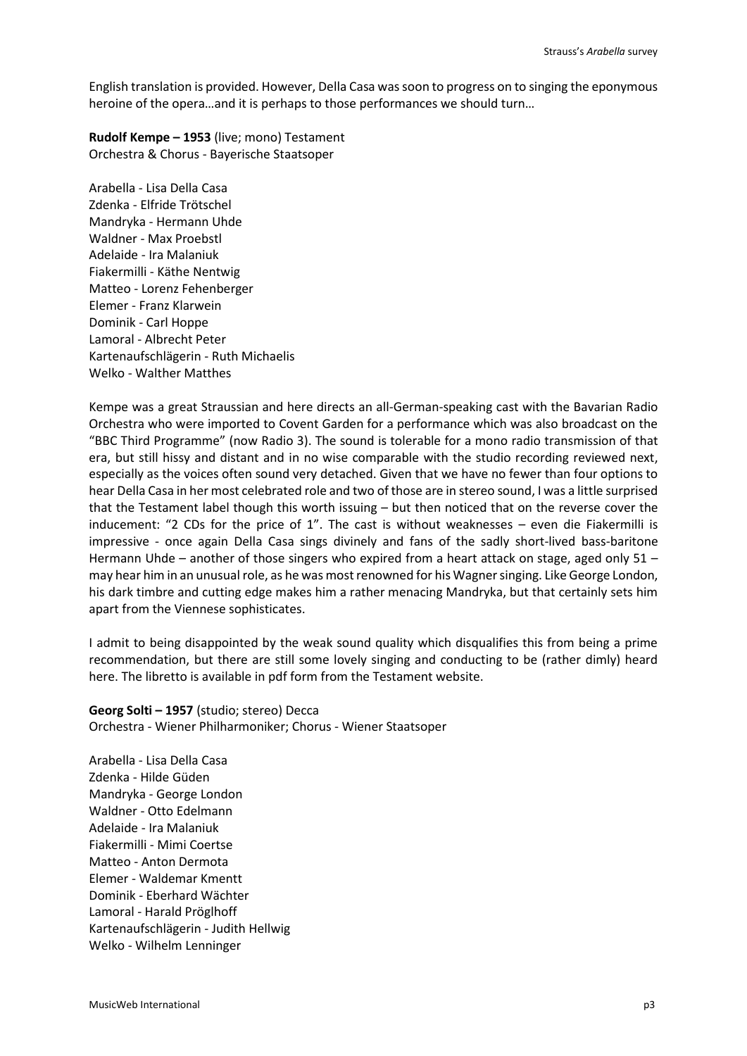English translation is provided. However, Della Casa was soon to progress on to singing the eponymous heroine of the opera…and it is perhaps to those performances we should turn…

**Rudolf Kempe – 1953** (live; mono) Testament Orchestra & Chorus - Bayerische Staatsoper

Arabella - Lisa Della Casa Zdenka - Elfride Trötschel Mandryka - Hermann Uhde Waldner - Max Proebstl Adelaide - Ira Malaniuk Fiakermilli - Käthe Nentwig Matteo - Lorenz Fehenberger Elemer - Franz Klarwein Dominik - Carl Hoppe Lamoral - Albrecht Peter Kartenaufschlägerin - Ruth Michaelis Welko - Walther Matthes

Kempe was a great Straussian and here directs an all-German-speaking cast with the Bavarian Radio Orchestra who were imported to Covent Garden for a performance which was also broadcast on the "BBC Third Programme" (now Radio 3). The sound is tolerable for a mono radio transmission of that era, but still hissy and distant and in no wise comparable with the studio recording reviewed next, especially as the voices often sound very detached. Given that we have no fewer than four options to hear Della Casa in her most celebrated role and two of those are in stereo sound, I was a little surprised that the Testament label though this worth issuing – but then noticed that on the reverse cover the inducement: "2 CDs for the price of 1". The cast is without weaknesses – even die Fiakermilli is impressive - once again Della Casa sings divinely and fans of the sadly short-lived bass-baritone Hermann Uhde – another of those singers who expired from a heart attack on stage, aged only 51 – may hear him in an unusual role, as he was most renowned for his Wagner singing. Like George London, his dark timbre and cutting edge makes him a rather menacing Mandryka, but that certainly sets him apart from the Viennese sophisticates.

I admit to being disappointed by the weak sound quality which disqualifies this from being a prime recommendation, but there are still some lovely singing and conducting to be (rather dimly) heard here. The libretto is available in pdf form from the Testament website.

**Georg Solti – 1957** (studio; stereo) Decca Orchestra - Wiener Philharmoniker; Chorus - Wiener Staatsoper

Arabella - Lisa Della Casa Zdenka - Hilde Güden Mandryka - George London Waldner - Otto Edelmann Adelaide - Ira Malaniuk Fiakermilli - Mimi Coertse Matteo - Anton Dermota Elemer - Waldemar Kmentt Dominik - Eberhard Wächter Lamoral - Harald Pröglhoff Kartenaufschlägerin - Judith Hellwig Welko - Wilhelm Lenninger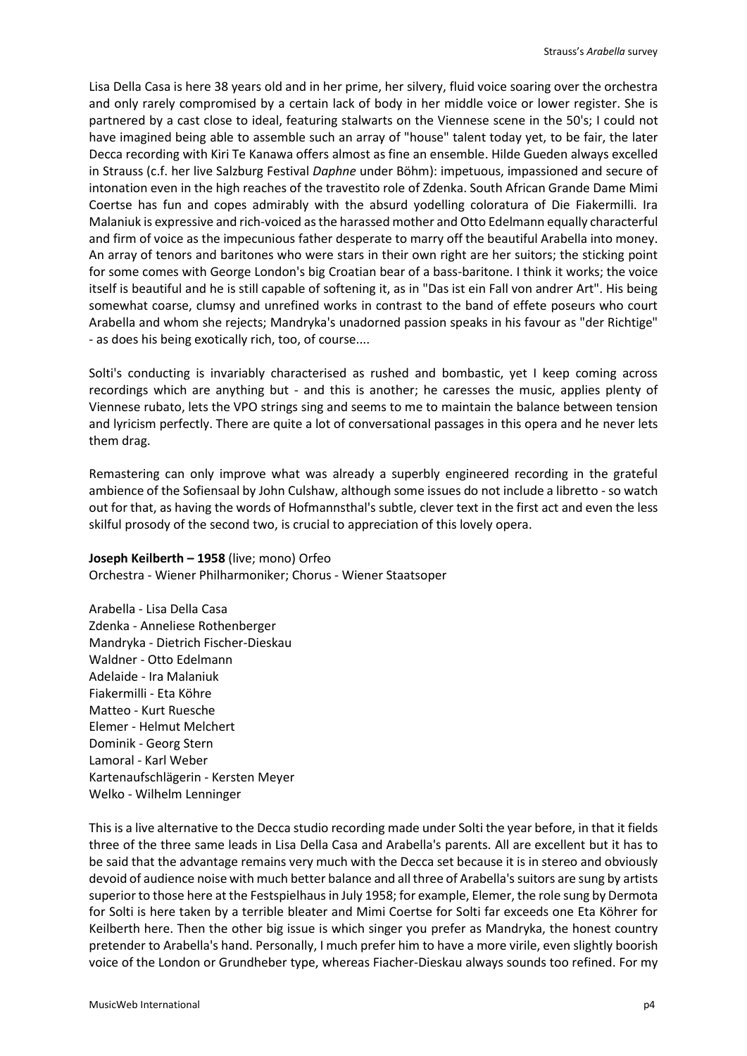Lisa Della Casa is here 38 years old and in her prime, her silvery, fluid voice soaring over the orchestra and only rarely compromised by a certain lack of body in her middle voice or lower register. She is partnered by a cast close to ideal, featuring stalwarts on the Viennese scene in the 50's; I could not have imagined being able to assemble such an array of "house" talent today yet, to be fair, the later Decca recording with Kiri Te Kanawa offers almost as fine an ensemble. Hilde Gueden always excelled in Strauss (c.f. her live Salzburg Festival *Daphne* under Böhm): impetuous, impassioned and secure of intonation even in the high reaches of the travestito role of Zdenka. South African Grande Dame Mimi Coertse has fun and copes admirably with the absurd yodelling coloratura of Die Fiakermilli. Ira Malaniuk is expressive and rich-voiced as the harassed mother and Otto Edelmann equally characterful and firm of voice as the impecunious father desperate to marry off the beautiful Arabella into money. An array of tenors and baritones who were stars in their own right are her suitors; the sticking point for some comes with George London's big Croatian bear of a bass-baritone. I think it works; the voice itself is beautiful and he is still capable of softening it, as in "Das ist ein Fall von andrer Art". His being somewhat coarse, clumsy and unrefined works in contrast to the band of effete poseurs who court Arabella and whom she rejects; Mandryka's unadorned passion speaks in his favour as "der Richtige" - as does his being exotically rich, too, of course....

Solti's conducting is invariably characterised as rushed and bombastic, yet I keep coming across recordings which are anything but - and this is another; he caresses the music, applies plenty of Viennese rubato, lets the VPO strings sing and seems to me to maintain the balance between tension and lyricism perfectly. There are quite a lot of conversational passages in this opera and he never lets them drag.

Remastering can only improve what was already a superbly engineered recording in the grateful ambience of the Sofiensaal by John Culshaw, although some issues do not include a libretto - so watch out for that, as having the words of Hofmannsthal's subtle, clever text in the first act and even the less skilful prosody of the second two, is crucial to appreciation of this lovely opera.

# **Joseph Keilberth – 1958** (live; mono) Orfeo Orchestra - Wiener Philharmoniker; Chorus - Wiener Staatsoper

Arabella - Lisa Della Casa Zdenka - Anneliese Rothenberger Mandryka - Dietrich Fischer-Dieskau Waldner - Otto Edelmann Adelaide - Ira Malaniuk Fiakermilli - Eta Köhre Matteo - Kurt Ruesche Elemer - Helmut Melchert Dominik - Georg Stern Lamoral - Karl Weber Kartenaufschlägerin - Kersten Meyer Welko - Wilhelm Lenninger

This is a live alternative to the Decca studio recording made under Solti the year before, in that it fields three of the three same leads in Lisa Della Casa and Arabella's parents. All are excellent but it has to be said that the advantage remains very much with the Decca set because it is in stereo and obviously devoid of audience noise with much better balance and all three of Arabella's suitors are sung by artists superior to those here at the Festspielhaus in July 1958; for example, Elemer, the role sung by Dermota for Solti is here taken by a terrible bleater and Mimi Coertse for Solti far exceeds one Eta Köhrer for Keilberth here. Then the other big issue is which singer you prefer as Mandryka, the honest country pretender to Arabella's hand. Personally, I much prefer him to have a more virile, even slightly boorish voice of the London or Grundheber type, whereas Fiacher-Dieskau always sounds too refined. For my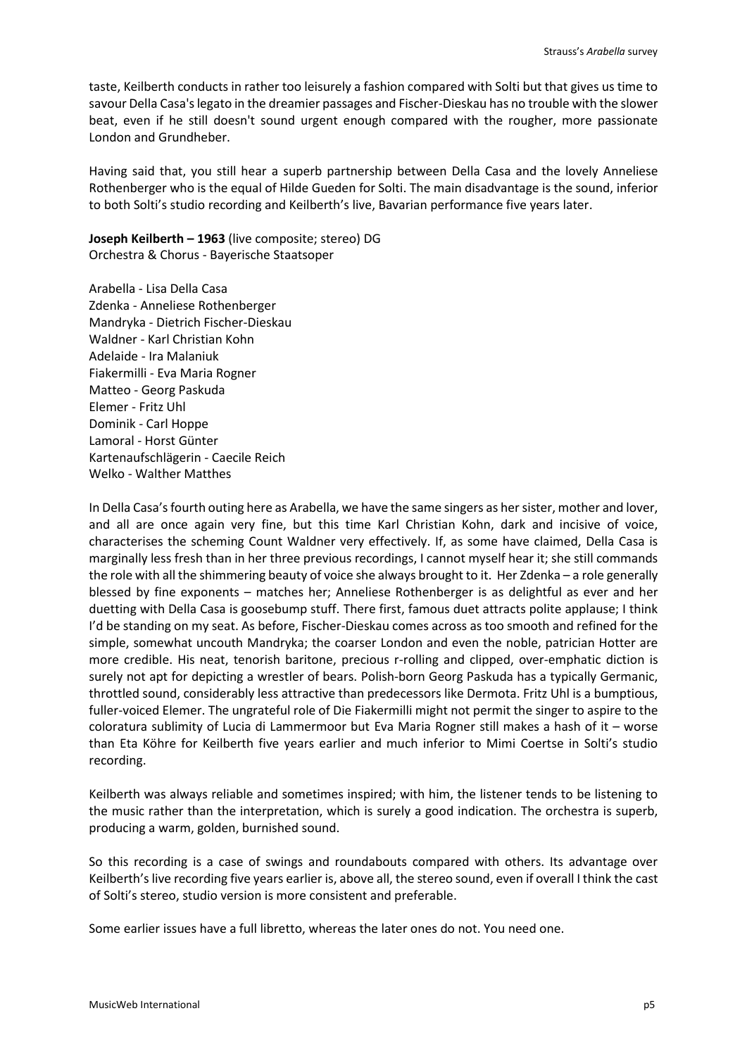taste, Keilberth conducts in rather too leisurely a fashion compared with Solti but that gives us time to savour Della Casa's legato in the dreamier passages and Fischer-Dieskau has no trouble with the slower beat, even if he still doesn't sound urgent enough compared with the rougher, more passionate London and Grundheber.

Having said that, you still hear a superb partnership between Della Casa and the lovely Anneliese Rothenberger who is the equal of Hilde Gueden for Solti. The main disadvantage is the sound, inferior to both Solti's studio recording and Keilberth's live, Bavarian performance five years later.

**Joseph Keilberth – 1963** (live composite; stereo) DG Orchestra & Chorus - Bayerische Staatsoper

Arabella - Lisa Della Casa Zdenka - Anneliese Rothenberger Mandryka - Dietrich Fischer-Dieskau Waldner - Karl Christian Kohn Adelaide - Ira Malaniuk Fiakermilli - Eva Maria Rogner Matteo - Georg Paskuda Elemer - Fritz Uhl Dominik - Carl Hoppe Lamoral - Horst Günter Kartenaufschlägerin - Caecile Reich Welko - Walther Matthes

In Della Casa's fourth outing here as Arabella, we have the same singers as her sister, mother and lover, and all are once again very fine, but this time Karl Christian Kohn, dark and incisive of voice, characterises the scheming Count Waldner very effectively. If, as some have claimed, Della Casa is marginally less fresh than in her three previous recordings, I cannot myself hear it; she still commands the role with all the shimmering beauty of voice she always brought to it. Her Zdenka – a role generally blessed by fine exponents – matches her; Anneliese Rothenberger is as delightful as ever and her duetting with Della Casa is goosebump stuff. There first, famous duet attracts polite applause; I think I'd be standing on my seat. As before, Fischer-Dieskau comes across as too smooth and refined for the simple, somewhat uncouth Mandryka; the coarser London and even the noble, patrician Hotter are more credible. His neat, tenorish baritone, precious r-rolling and clipped, over-emphatic diction is surely not apt for depicting a wrestler of bears. Polish-born Georg Paskuda has a typically Germanic, throttled sound, considerably less attractive than predecessors like Dermota. Fritz Uhl is a bumptious, fuller-voiced Elemer. The ungrateful role of Die Fiakermilli might not permit the singer to aspire to the coloratura sublimity of Lucia di Lammermoor but Eva Maria Rogner still makes a hash of it – worse than Eta Köhre for Keilberth five years earlier and much inferior to Mimi Coertse in Solti's studio recording.

Keilberth was always reliable and sometimes inspired; with him, the listener tends to be listening to the music rather than the interpretation, which is surely a good indication. The orchestra is superb, producing a warm, golden, burnished sound.

So this recording is a case of swings and roundabouts compared with others. Its advantage over Keilberth's live recording five years earlier is, above all, the stereo sound, even if overall I think the cast of Solti's stereo, studio version is more consistent and preferable.

Some earlier issues have a full libretto, whereas the later ones do not. You need one.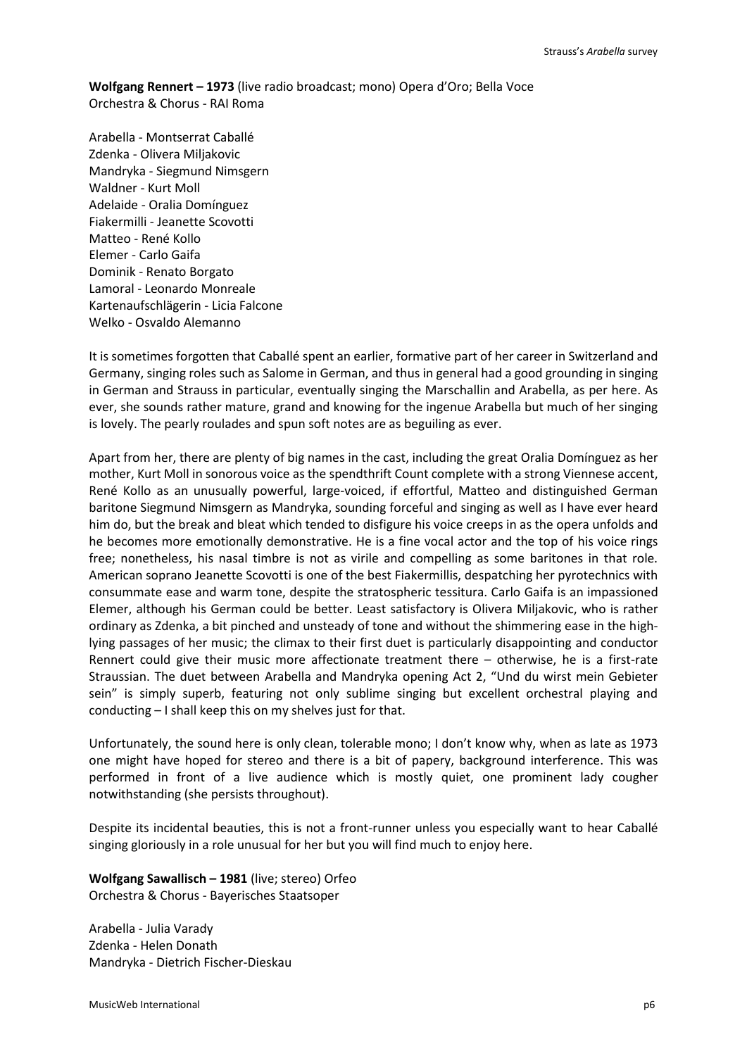**Wolfgang Rennert – 1973** (live radio broadcast; mono) Opera d'Oro; Bella Voce Orchestra & Chorus - RAI Roma

Arabella - Montserrat Caballé Zdenka - Olivera Miljakovic Mandryka - Siegmund Nimsgern Waldner - Kurt Moll Adelaide - Oralia Domínguez Fiakermilli - Jeanette Scovotti Matteo - René Kollo Elemer - Carlo Gaifa Dominik - Renato Borgato Lamoral - Leonardo Monreale Kartenaufschlägerin - Licia Falcone Welko - Osvaldo Alemanno

It is sometimes forgotten that Caballé spent an earlier, formative part of her career in Switzerland and Germany, singing roles such as Salome in German, and thus in general had a good grounding in singing in German and Strauss in particular, eventually singing the Marschallin and Arabella, as per here. As ever, she sounds rather mature, grand and knowing for the ingenue Arabella but much of her singing is lovely. The pearly roulades and spun soft notes are as beguiling as ever.

Apart from her, there are plenty of big names in the cast, including the great Oralia Domínguez as her mother, Kurt Moll in sonorous voice as the spendthrift Count complete with a strong Viennese accent, René Kollo as an unusually powerful, large-voiced, if effortful, Matteo and distinguished German baritone Siegmund Nimsgern as Mandryka, sounding forceful and singing as well as I have ever heard him do, but the break and bleat which tended to disfigure his voice creeps in as the opera unfolds and he becomes more emotionally demonstrative. He is a fine vocal actor and the top of his voice rings free; nonetheless, his nasal timbre is not as virile and compelling as some baritones in that role. American soprano Jeanette Scovotti is one of the best Fiakermillis, despatching her pyrotechnics with consummate ease and warm tone, despite the stratospheric tessitura. Carlo Gaifa is an impassioned Elemer, although his German could be better. Least satisfactory is Olivera Miljakovic, who is rather ordinary as Zdenka, a bit pinched and unsteady of tone and without the shimmering ease in the highlying passages of her music; the climax to their first duet is particularly disappointing and conductor Rennert could give their music more affectionate treatment there – otherwise, he is a first-rate Straussian. The duet between Arabella and Mandryka opening Act 2, "Und du wirst mein Gebieter sein" is simply superb, featuring not only sublime singing but excellent orchestral playing and conducting – I shall keep this on my shelves just for that.

Unfortunately, the sound here is only clean, tolerable mono; I don't know why, when as late as 1973 one might have hoped for stereo and there is a bit of papery, background interference. This was performed in front of a live audience which is mostly quiet, one prominent lady cougher notwithstanding (she persists throughout).

Despite its incidental beauties, this is not a front-runner unless you especially want to hear Caballé singing gloriously in a role unusual for her but you will find much to enjoy here.

**Wolfgang Sawallisch – 1981** (live; stereo) Orfeo Orchestra & Chorus - Bayerisches Staatsoper

Arabella - Julia Varady Zdenka - Helen Donath Mandryka - Dietrich Fischer-Dieskau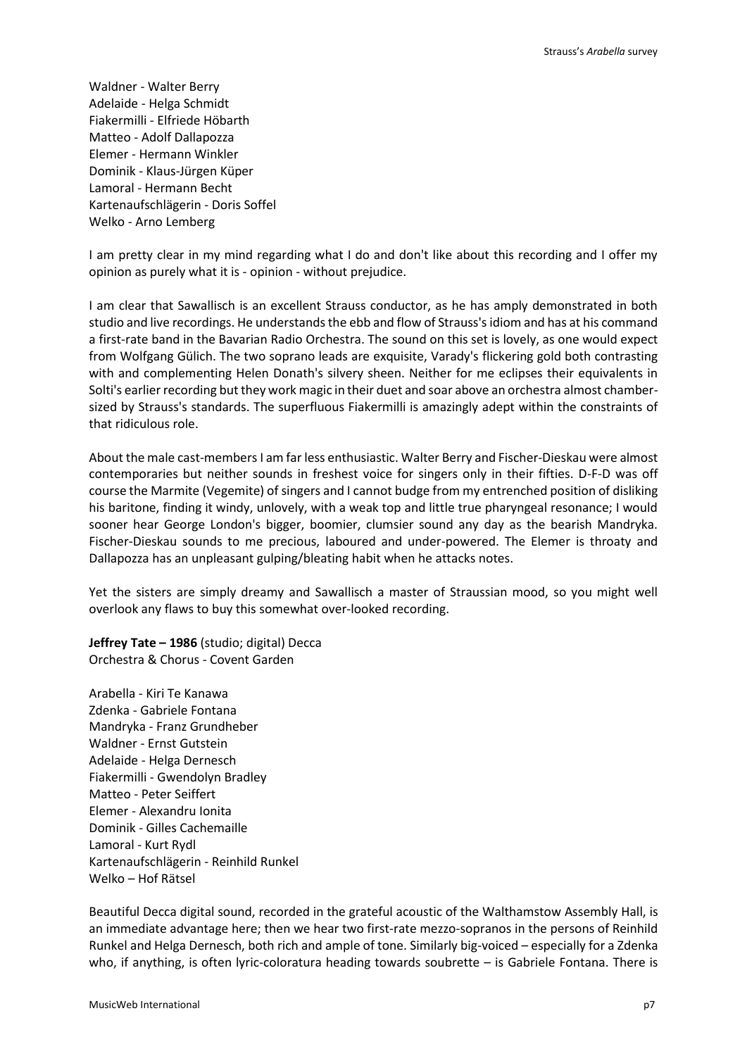Waldner - Walter Berry Adelaide - Helga Schmidt Fiakermilli - Elfriede Höbarth Matteo - Adolf Dallapozza Elemer - Hermann Winkler Dominik - Klaus-Jürgen Küper Lamoral - Hermann Becht Kartenaufschlägerin - Doris Soffel Welko - Arno Lemberg

I am pretty clear in my mind regarding what I do and don't like about this recording and I offer my opinion as purely what it is - opinion - without prejudice.

I am clear that Sawallisch is an excellent Strauss conductor, as he has amply demonstrated in both studio and live recordings. He understands the ebb and flow of Strauss's idiom and has at his command a first-rate band in the Bavarian Radio Orchestra. The sound on this set is lovely, as one would expect from Wolfgang Gülich. The two soprano leads are exquisite, Varady's flickering gold both contrasting with and complementing Helen Donath's silvery sheen. Neither for me eclipses their equivalents in Solti's earlier recording but they work magic in their duet and soar above an orchestra almost chambersized by Strauss's standards. The superfluous Fiakermilli is amazingly adept within the constraints of that ridiculous role.

About the male cast-membersI am far less enthusiastic. Walter Berry and Fischer-Dieskau were almost contemporaries but neither sounds in freshest voice for singers only in their fifties. D-F-D was off course the Marmite (Vegemite) of singers and I cannot budge from my entrenched position of disliking his baritone, finding it windy, unlovely, with a weak top and little true pharyngeal resonance; I would sooner hear George London's bigger, boomier, clumsier sound any day as the bearish Mandryka. Fischer-Dieskau sounds to me precious, laboured and under-powered. The Elemer is throaty and Dallapozza has an unpleasant gulping/bleating habit when he attacks notes.

Yet the sisters are simply dreamy and Sawallisch a master of Straussian mood, so you might well overlook any flaws to buy this somewhat over-looked recording.

**Jeffrey Tate – 1986** (studio; digital) Decca Orchestra & Chorus - Covent Garden

Arabella - Kiri Te Kanawa Zdenka - Gabriele Fontana Mandryka - Franz Grundheber Waldner - Ernst Gutstein Adelaide - Helga Dernesch Fiakermilli - Gwendolyn Bradley Matteo - Peter Seiffert Elemer - Alexandru Ionita Dominik - Gilles Cachemaille Lamoral - Kurt Rydl Kartenaufschlägerin - Reinhild Runkel Welko – Hof Rätsel

Beautiful Decca digital sound, recorded in the grateful acoustic of the Walthamstow Assembly Hall, is an immediate advantage here; then we hear two first-rate mezzo-sopranos in the persons of Reinhild Runkel and Helga Dernesch, both rich and ample of tone. Similarly big-voiced – especially for a Zdenka who, if anything, is often lyric-coloratura heading towards soubrette – is Gabriele Fontana. There is